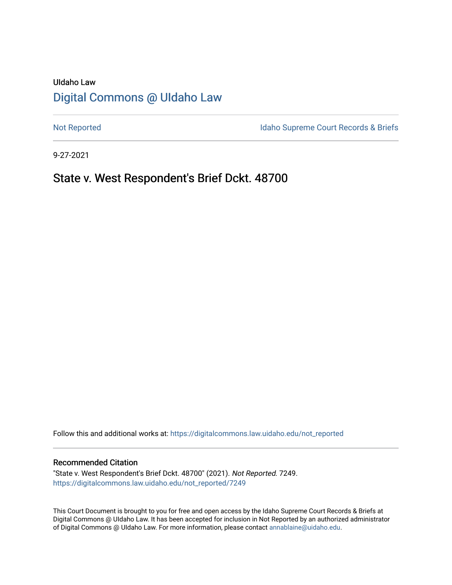# UIdaho Law [Digital Commons @ UIdaho Law](https://digitalcommons.law.uidaho.edu/)

[Not Reported](https://digitalcommons.law.uidaho.edu/not_reported) **Idaho Supreme Court Records & Briefs** 

9-27-2021

# State v. West Respondent's Brief Dckt. 48700

Follow this and additional works at: [https://digitalcommons.law.uidaho.edu/not\\_reported](https://digitalcommons.law.uidaho.edu/not_reported?utm_source=digitalcommons.law.uidaho.edu%2Fnot_reported%2F7249&utm_medium=PDF&utm_campaign=PDFCoverPages) 

#### Recommended Citation

"State v. West Respondent's Brief Dckt. 48700" (2021). Not Reported. 7249. [https://digitalcommons.law.uidaho.edu/not\\_reported/7249](https://digitalcommons.law.uidaho.edu/not_reported/7249?utm_source=digitalcommons.law.uidaho.edu%2Fnot_reported%2F7249&utm_medium=PDF&utm_campaign=PDFCoverPages)

This Court Document is brought to you for free and open access by the Idaho Supreme Court Records & Briefs at Digital Commons @ UIdaho Law. It has been accepted for inclusion in Not Reported by an authorized administrator of Digital Commons @ UIdaho Law. For more information, please contact [annablaine@uidaho.edu](mailto:annablaine@uidaho.edu).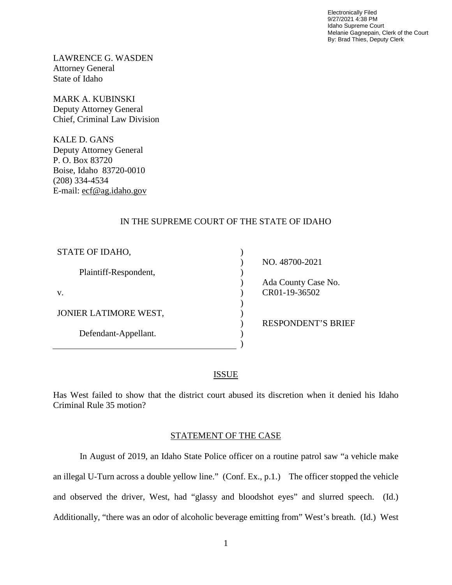Electronically Filed 9/27/2021 4:38 PM Idaho Supreme Court Melanie Gagnepain, Clerk of the Court By: Brad Thies, Deputy Clerk

LAWRENCE G. WASDEN Attorney General State of Idaho

MARK A. KUBINSKI Deputy Attorney General Chief, Criminal Law Division

KALE D. GANS Deputy Attorney General P. O. Box 83720 Boise, Idaho 83720-0010 (208) 334-4534 E-mail: ecf@ag.idaho.gov

## IN THE SUPREME COURT OF THE STATE OF IDAHO

| STATE OF IDAHO,       |                           |
|-----------------------|---------------------------|
|                       | NO. 48700-2021            |
| Plaintiff-Respondent, |                           |
|                       | Ada County Case No.       |
| V.                    | CR01-19-36502             |
|                       |                           |
| JONIER LATIMORE WEST, |                           |
|                       | <b>RESPONDENT'S BRIEF</b> |
| Defendant-Appellant.  |                           |
|                       |                           |

## ISSUE

Has West failed to show that the district court abused its discretion when it denied his Idaho Criminal Rule 35 motion?

## STATEMENT OF THE CASE

In August of 2019, an Idaho State Police officer on a routine patrol saw "a vehicle make an illegal U-Turn across a double yellow line." (Conf. Ex., p.1.) The officer stopped the vehicle and observed the driver, West, had "glassy and bloodshot eyes" and slurred speech. (Id.) Additionally, "there was an odor of alcoholic beverage emitting from" West's breath. (Id.) West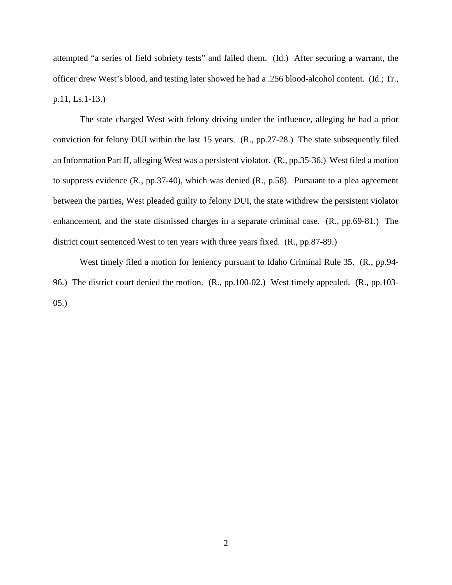attempted "a series of field sobriety tests" and failed them. (Id.) After securing a warrant, the officer drew West's blood, and testing later showed he had a .256 blood-alcohol content. (Id.; Tr., p.11, Ls.1-13.)

The state charged West with felony driving under the influence, alleging he had a prior conviction for felony DUI within the last 15 years. (R., pp.27-28.) The state subsequently filed an Information Part II, alleging West was a persistent violator. (R., pp.35-36.) West filed a motion to suppress evidence (R., pp.37-40), which was denied (R., p.58). Pursuant to a plea agreement between the parties, West pleaded guilty to felony DUI, the state withdrew the persistent violator enhancement, and the state dismissed charges in a separate criminal case. (R., pp.69-81.) The district court sentenced West to ten years with three years fixed. (R., pp.87-89.)

West timely filed a motion for leniency pursuant to Idaho Criminal Rule 35. (R., pp.94- 96.) The district court denied the motion. (R., pp.100-02.) West timely appealed. (R., pp.103- 05.)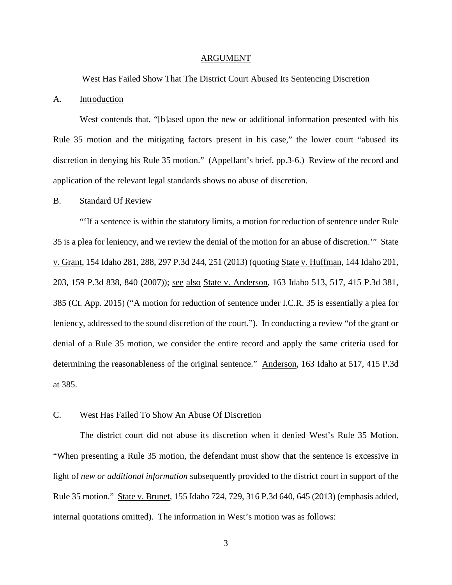#### ARGUMENT

#### West Has Failed Show That The District Court Abused Its Sentencing Discretion

#### A. Introduction

West contends that, "[b]ased upon the new or additional information presented with his Rule 35 motion and the mitigating factors present in his case," the lower court "abused its discretion in denying his Rule 35 motion." (Appellant's brief, pp.3-6.) Review of the record and application of the relevant legal standards shows no abuse of discretion.

#### B. Standard Of Review

"'If a sentence is within the statutory limits, a motion for reduction of sentence under Rule 35 is a plea for leniency, and we review the denial of the motion for an abuse of discretion.'" State v. Grant, 154 Idaho 281, 288, 297 P.3d 244, 251 (2013) (quoting State v. Huffman, 144 Idaho 201, 203, 159 P.3d 838, 840 (2007)); <u>see also State v. Anderson</u>, 163 Idaho 513, 517, 415 P.3d 381, 385 (Ct. App. 2015) ("A motion for reduction of sentence under I.C.R. 35 is essentially a plea for leniency, addressed to the sound discretion of the court."). In conducting a review "of the grant or denial of a Rule 35 motion, we consider the entire record and apply the same criteria used for determining the reasonableness of the original sentence." Anderson, 163 Idaho at 517, 415 P.3d at 385.

## C. West Has Failed To Show An Abuse Of Discretion

The district court did not abuse its discretion when it denied West's Rule 35 Motion. "When presenting a Rule 35 motion, the defendant must show that the sentence is excessive in light of *new or additional information* subsequently provided to the district court in support of the Rule 35 motion." State v. Brunet, 155 Idaho 724, 729, 316 P.3d 640, 645 (2013) (emphasis added, internal quotations omitted). The information in West's motion was as follows: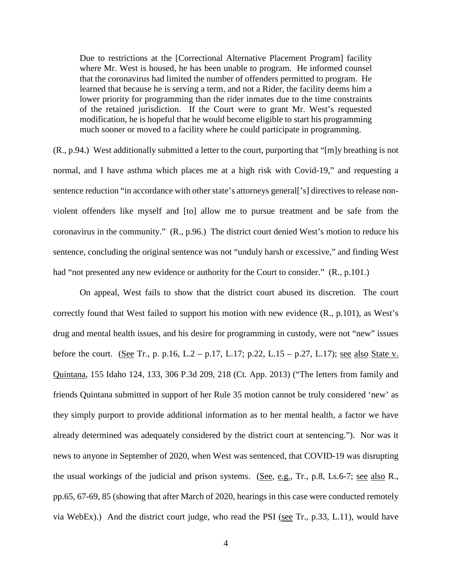Due to restrictions at the [Correctional Alternative Placement Program] facility where Mr. West is housed, he has been unable to program. He informed counsel that the coronavirus had limited the number of offenders permitted to program. He learned that because he is serving a term, and not a Rider, the facility deems him a lower priority for programming than the rider inmates due to the time constraints of the retained jurisdiction. If the Court were to grant Mr. West's requested modification, he is hopeful that he would become eligible to start his programming much sooner or moved to a facility where he could participate in programming.

(R., p.94.) West additionally submitted a letter to the court, purporting that "[m]y breathing is not normal, and I have asthma which places me at a high risk with Covid-19," and requesting a sentence reduction "in accordance with other state's attorneys general<sup>['s]</sup> directives to release nonviolent offenders like myself and [to] allow me to pursue treatment and be safe from the coronavirus in the community." (R., p.96.) The district court denied West's motion to reduce his sentence, concluding the original sentence was not "unduly harsh or excessive," and finding West had "not presented any new evidence or authority for the Court to consider." (R., p.101.)

On appeal, West fails to show that the district court abused its discretion. The court correctly found that West failed to support his motion with new evidence (R., p.101), as West's drug and mental health issues, and his desire for programming in custody, were not "new" issues before the court. (See Tr., p. p.16, L.2 – p.17, L.17; p.22, L.15 – p.27, L.17); <u>see also State v.</u> Quintana, 155 Idaho 124, 133, 306 P.3d 209, 218 (Ct. App. 2013) ("The letters from family and friends Quintana submitted in support of her Rule 35 motion cannot be truly considered 'new' as they simply purport to provide additional information as to her mental health, a factor we have already determined was adequately considered by the district court at sentencing."). Nor was it news to anyone in September of 2020, when West was sentenced, that COVID-19 was disrupting the usual workings of the judicial and prison systems. (See, e.g., Tr., p.8, Ls.6-7; see also R., pp.65, 67-69, 85 (showing that after March of 2020, hearings in this case were conducted remotely via WebEx).) And the district court judge, who read the PSI (see Tr., p.33, L.11), would have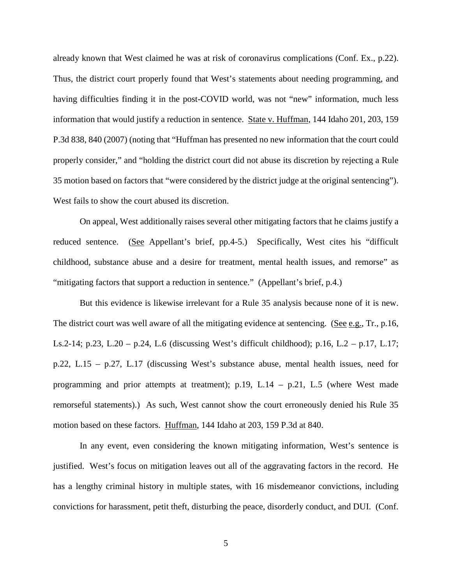already known that West claimed he was at risk of coronavirus complications (Conf. Ex., p.22). Thus, the district court properly found that West's statements about needing programming, and having difficulties finding it in the post-COVID world, was not "new" information, much less information that would justify a reduction in sentence. State v. Huffman, 144 Idaho 201, 203, 159 P.3d 838, 840 (2007) (noting that "Huffman has presented no new information that the court could properly consider," and "holding the district court did not abuse its discretion by rejecting a Rule 35 motion based on factors that "were considered by the district judge at the original sentencing"). West fails to show the court abused its discretion.

On appeal, West additionally raises several other mitigating factors that he claims justify a reduced sentence. (See Appellant's brief, pp.4-5.) Specifically, West cites his "difficult childhood, substance abuse and a desire for treatment, mental health issues, and remorse" as "mitigating factors that support a reduction in sentence." (Appellant's brief, p.4.)

But this evidence is likewise irrelevant for a Rule 35 analysis because none of it is new. The district court was well aware of all the mitigating evidence at sentencing. (See e.g., Tr., p.16, Ls.2-14; p.23, L.20 – p.24, L.6 (discussing West's difficult childhood); p.16, L.2 – p.17, L.17; p.22, L.15 – p.27, L.17 (discussing West's substance abuse, mental health issues, need for programming and prior attempts at treatment); p.19, L.14 – p.21, L.5 (where West made remorseful statements).) As such, West cannot show the court erroneously denied his Rule 35 motion based on these factors. Huffman, 144 Idaho at 203, 159 P.3d at 840.

In any event, even considering the known mitigating information, West's sentence is justified. West's focus on mitigation leaves out all of the aggravating factors in the record. He has a lengthy criminal history in multiple states, with 16 misdemeanor convictions, including convictions for harassment, petit theft, disturbing the peace, disorderly conduct, and DUI. (Conf.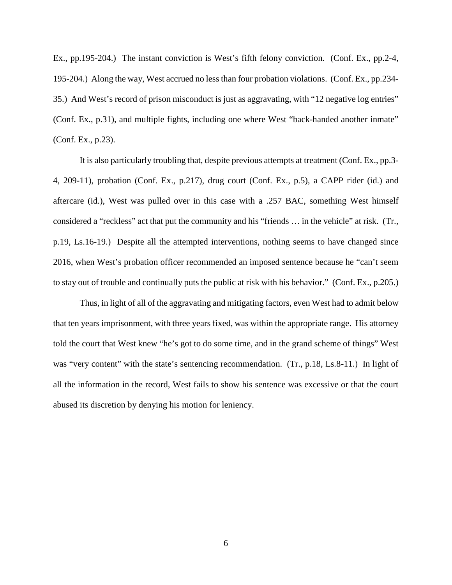Ex., pp.195-204.) The instant conviction is West's fifth felony conviction. (Conf. Ex., pp.2-4, 195-204.) Along the way, West accrued no less than four probation violations. (Conf. Ex., pp.234- 35.) And West's record of prison misconduct is just as aggravating, with "12 negative log entries" (Conf. Ex., p.31), and multiple fights, including one where West "back-handed another inmate" (Conf. Ex., p.23).

It is also particularly troubling that, despite previous attempts at treatment (Conf. Ex., pp.3- 4, 209-11), probation (Conf. Ex., p.217), drug court (Conf. Ex., p.5), a CAPP rider (id.) and aftercare (id.), West was pulled over in this case with a .257 BAC, something West himself considered a "reckless" act that put the community and his "friends … in the vehicle" at risk. (Tr., p.19, Ls.16-19.) Despite all the attempted interventions, nothing seems to have changed since 2016, when West's probation officer recommended an imposed sentence because he "can't seem to stay out of trouble and continually puts the public at risk with his behavior." (Conf. Ex., p.205.)

Thus, in light of all of the aggravating and mitigating factors, even West had to admit below that ten years imprisonment, with three years fixed, was within the appropriate range. His attorney told the court that West knew "he's got to do some time, and in the grand scheme of things" West was "very content" with the state's sentencing recommendation. (Tr., p.18, Ls.8-11.) In light of all the information in the record, West fails to show his sentence was excessive or that the court abused its discretion by denying his motion for leniency.